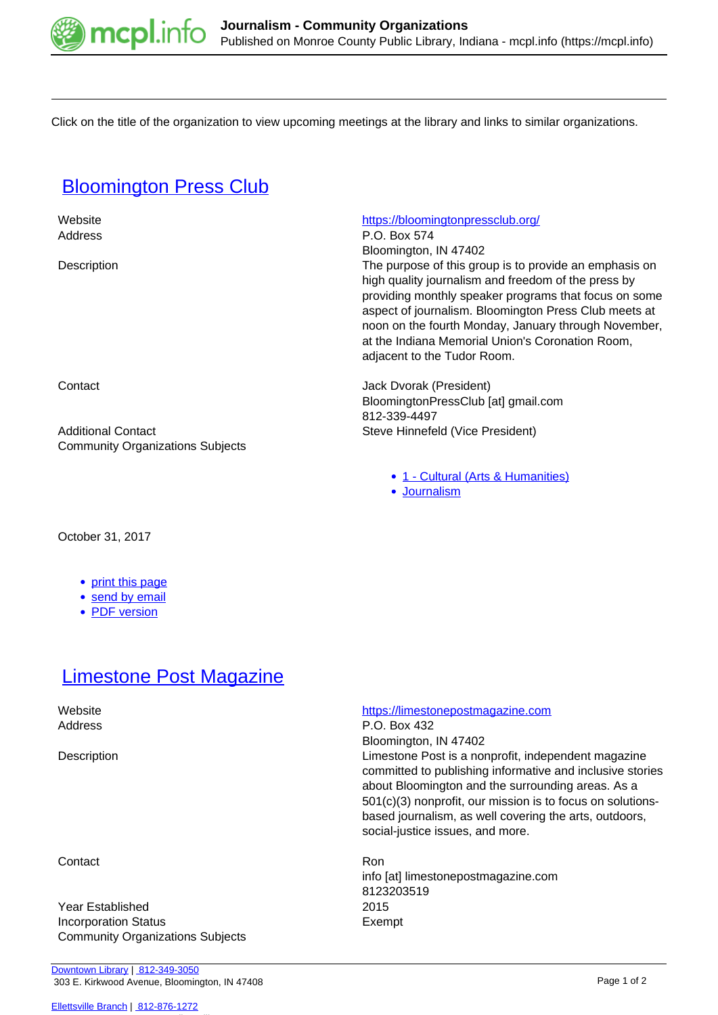

Click on the title of the organization to view upcoming meetings at the library and links to similar organizations.

# **[Bloomington Press Club](https://mcpl.info/commorg/bloomington-press-club)**

| Website                                 | https://bloomingtonpressclub.org/                                                                                                                                                                                                                                                                                                                                          |
|-----------------------------------------|----------------------------------------------------------------------------------------------------------------------------------------------------------------------------------------------------------------------------------------------------------------------------------------------------------------------------------------------------------------------------|
| Address                                 | P.O. Box 574                                                                                                                                                                                                                                                                                                                                                               |
|                                         | Bloomington, IN 47402                                                                                                                                                                                                                                                                                                                                                      |
| Description                             | The purpose of this group is to provide an emphasis on<br>high quality journalism and freedom of the press by<br>providing monthly speaker programs that focus on some<br>aspect of journalism. Bloomington Press Club meets at<br>noon on the fourth Monday, January through November,<br>at the Indiana Memorial Union's Coronation Room,<br>adjacent to the Tudor Room. |
| Contact                                 | Jack Dvorak (President)                                                                                                                                                                                                                                                                                                                                                    |
|                                         | BloomingtonPressClub [at] gmail.com                                                                                                                                                                                                                                                                                                                                        |
|                                         | 812-339-4497                                                                                                                                                                                                                                                                                                                                                               |
| <b>Additional Contact</b>               | Steve Hinnefeld (Vice President)                                                                                                                                                                                                                                                                                                                                           |
| <b>Community Organizations Subjects</b> |                                                                                                                                                                                                                                                                                                                                                                            |
|                                         | • 1 - Cultural (Arts & Humanities)                                                                                                                                                                                                                                                                                                                                         |

October 31, 2017

- [print this page](https://mcpl.info/print/commorg/bloomington-press-club)
- [send by email](https://mcpl.info/printmail/commorg/bloomington-press-club)
- [PDF version](https://mcpl.info/printpdf/commorg/bloomington-press-club)

## **[Limestone Post Magazine](https://mcpl.info/commorg/limestone-post-magazine)**

## Contact Ron

Year Established 2015 Incorporation Status **Exempt** Community Organizations Subjects

#### [Ellettsville Branch](https://mcpl.info/ellettsville/ellettsville-branch) | [812-876-1272](tel:812-876-1272)

## Website <https://limestonepostmagazine.com>

Address P.O. Box 432 Bloomington, IN 47402

[Journalism](https://mcpl.info/taxonomy/term/25154)

Description Limestone Post is a nonprofit, independent magazine committed to publishing informative and inclusive stories about Bloomington and the surrounding areas. As a 501(c)(3) nonprofit, our mission is to focus on solutionsbased journalism, as well covering the arts, outdoors, social-justice issues, and more.

> info [at] limestonepostmagazine.com 8123203519